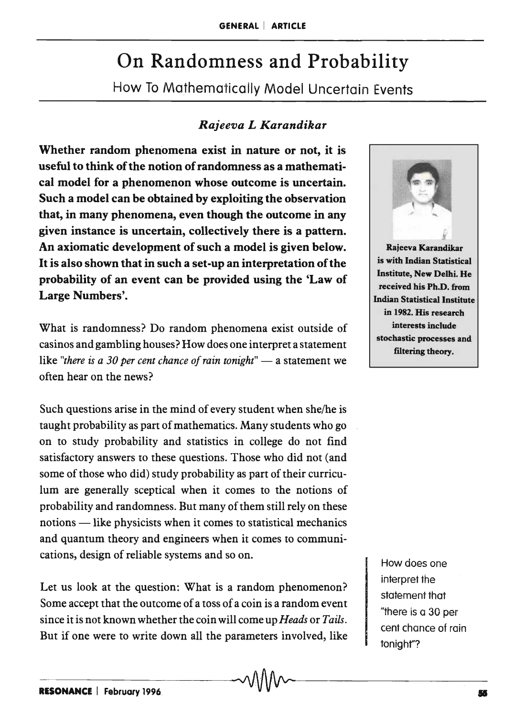# On Randomness and Probability

How To Mathematically Model Uncertain Events

## *Rajeeva L Karandikar*

Whether random phenomena exist in nature or not, it is useful to think of the notion of randomness as a mathematical model for a phenomenon whose outcome is uncertain. Such a model can be obtained by exploiting the observation that, in many phenomena, even though the outcome in any given instance is uncertain, collectively there is a pattern. An axiomatic development of such a model is given below. It is also shown that in such a set-up an interpretation of the probability of an event can be provided using the 'Law of Large Numbers'.

What is randomness? Do random phenomena exist outside of casinos and gambling houses? How does one interpret a statement like *"there is a 30 per cent chance of rain tonight"* — a statement we often hear on the news?

Such questions arise in the mind of every student when she/he is taught probability as part of mathematics. Many students who go on to study probability and statistics in college do not find satisfactory answers to these questions. Those who did not (and some of those who did) study probability as part of their curriculum are generally sceptical when it comes to the notions of probability and randomness. But many of them still rely on these notions — like physicists when it comes to statistical mechanics and quantum theory and engineers when it comes to communications, design of reliable systems and so on.

Let us look at the question: What is a random phenomenon? Some accept that the outcome of a toss of a coin is a random event since it is not known whether the coin will come up *Heads* or *Tails.*  But if one were to write down all the parameters involved, like



How does one interpret the statement that "there is a 30 per cent chance of rain tonight"?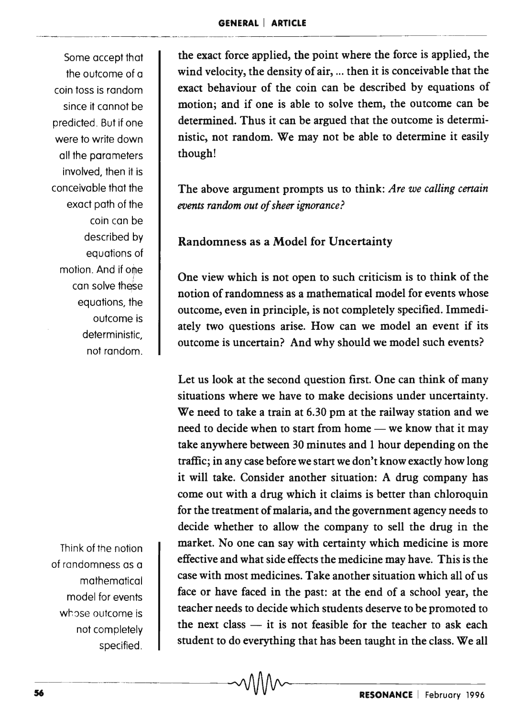Some accept that the outcome of a coin toss is random since it cannot be predicted. But if one were to write down all the parameters involved, then it is conceivable that the exact path of the coin can be described by equations of motion. And if one can solve these equations, the outcome is deterministic, not random.

Think of the notion of randomness as a mathematical model for events whose outcome is not completely specified. the exact force applied, the point where the force is applied, the wind velocity, the density of air, ... then it is conceivable that the exact behaviour of the coin can be described by equations of motion; and if one is able to solve them, the outcome can be determined. Thus it can be argued that the outcome is deterministic, not random. We may not be able to determine it easily though!

The above argument prompts us to think: *Are we calling certain events random out of sheer ignorance?* 

### Randomness as a Model for Uncertainty

One view which is not open to such criticism is to think of the notion of randomness as a mathematical model for events whose outcome, even in principle, is not completely specified. Immediately two questions arise. How can we model an event if its outcome is uncertain? And why should we model such events?

Let us look at the second question first. One can think of many situations where we have to make decisions under uncertainty. We need to take a train at 6.30 pm at the railway station and we need to decide when to start from home — we know that it may take anywhere between 30 minutes and 1 hour depending on the traffic; in any case before we start we don't know exactly how long it will take. Consider another situation: A drug company has come out with a drug which it claims is better than chloroquin for the treatment of malaria, and the government agency needs to decide whether to allow the company to sell the drug in the market. No one can say with certainty which medicine is more effective and what side effects the medicine may have. This is the case with most medicines. Take another situation which all of us face or have faced in the past: at the end of a school year, the teacher needs to decide which students deserve to be promoted to the next class  $-$  it is not feasible for the teacher to ask each student to do everything that has been taught in the class. We all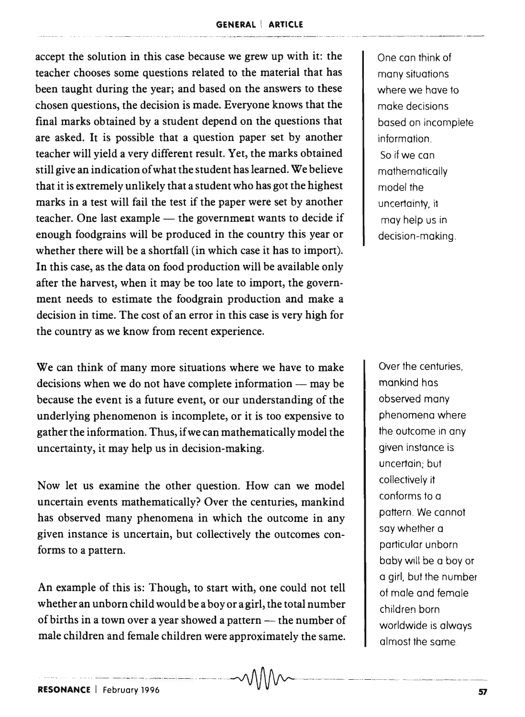#### **GENERAL I ARTICLE**

accept the solution in this case because we grew up with it: the teacher chooses some questions related to the material that has been taught during the year; and based on the answers to these chosen questions, the decision is made. Everyone knows that the final marks obtained by a student depend on the questions that are asked. It is possible that a question paper set by another teacher will yield a very different result. Yet, the marks obtained still give an indication of what the student has learned. We believe that it is extremely unlikely that a student who has got the highest marks in a test will fail the test if the paper were set by another teacher. One last example  $-$  the government wants to decide if enough foodgrains will be produced in the country this year or whether there will be a shortfall (in which case it has to import). In this case, as the data on food production will be available only after the harvest, when it may be too late to import, the government needs to estimate the foodgrain production and make a decision in time. The cost of an error in this case is very high for the country as we know from recent experience.

We can think of many more situations where we have to make  $decisions$  when we do not have complete information  $-$  may be because the event is a future event, or our understanding of the underlying phenomenon is incomplete, or it is too expensive to gather the information. Thus, if we can mathematically model the uncertainty, it may help us in decision-making.

Now let us examine the other question. How can we model uncertain events mathematically? Over the centuries, mankind has observed many phenomena in which the outcome in any given instance is uncertain, but collectively the outcomes conforms to a pattern.

An example of this is: Though, to start with, one could not tell whether an unborn child would be a boy or a girl, the total number of births in a town over a year showed a pattern - the number of male children and female children were approximately the same.

--..... . .. \_ .. - \_ ... - .-- .\_ .. \_--\_. - . --\_ .• \_-\_.\_--... -.\_--\_ . . ---- - -.. \_-- \_ •.. \_--\_.\_ - ---\_.

One can think of many situations where we have to make decisions based on incompiete information. So if we can mathematically model the uncertainty, it may help us in decision-making.

Over the centuries mankind has observed many phenomena where the outcome in any given instance is uncertain; but collectively it conforms to a pattern. We cannot say whether a particular unborn baby will be a boy or a girl, but the number of male and female children born worldwide is always almost the same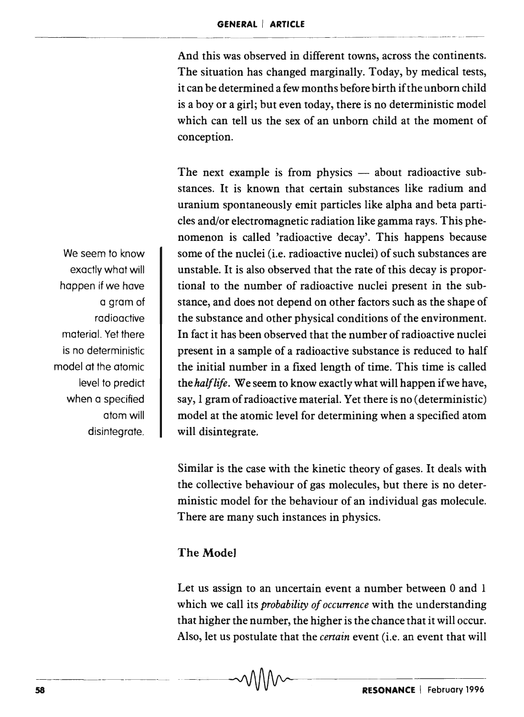And this was observed in different towns, across the continents. The situation has changed marginally. Today, by medical tests, it can be determined a few months before birth if the unborn child is a boy or a girl; but even today, there is no deterministic model which can tell us the sex of an unborn child at the moment of conception.

The next example is from physics  $-$  about radioactive substances. It is known that certain substances like radium and uranium spontaneously emit particles like alpha and beta particles and/or electromagnetic radiation like gamma rays. This phenomenon is called 'radioactive decay'. This happens because some of the nuclei (i.e. radioactive nuclei) of such substances are unstable. It is also observed that the rate of this decay is proportional to the number of radioactive nuclei present in the substance, and does not depend on other factors such as the shape of the substance and other physical conditions of the environment. In fact it has been observed that the number of radioactive nuclei present in a sample of a radioactive substance is reduced to half the initial number in a fixed length of time. This time is called *thehalflife.* We seem to know exactly what will happen if we have, say, 1 gram of radioactive material. Yet there is no ( deterministic) model at the atomic level for determining when a specified atom will disintegrate.

Similar is the case with the kinetic theory of gases. It deals with the collective behaviour of gas molecules, but there is no deterministic model for the behaviour of an individual gas molecule. There are many such instances in physics.

#### The Mode]

Let us assign to an uncertain event a number between 0 and 1 which we call its *probability of occurrence* with the understanding that higher the number, the higher is the chance that it will occur. Also, let us postulate that the *certain* event (i.e. an event that will

We seem to know exactly what will happen if we have a gram of radioactive material. Yet there is no deterministic model at the atomic level to predict when a specified atom will disintegrate.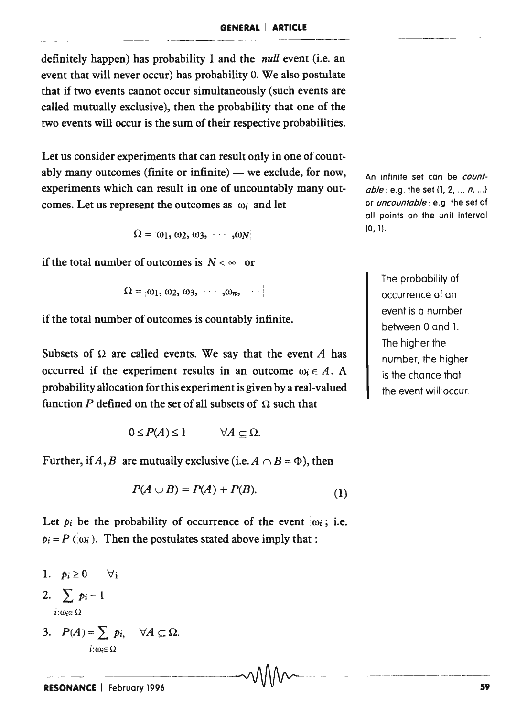definitely happen) has probability 1 and the *null* event (i.e. an event that will never occur) has probability O. We also postulate that if two events cannot occur simultaneously (such events are called mutually exclusive), then the probability that one of the two events will occur is the sum of their respective probabilities.

Let us consider experiments that can result only in one of countably many outcomes (finite or infinite)  $-$  we exclude, for now, experiments which can result in one of uncountably many outcomes. Let us represent the outcomes as  $\omega_i$  and let

$$
\Omega = [\omega_1, \omega_2, \omega_3, \cdots, \omega_N]
$$

if the total number of outcomes is  $N < \infty$  or

$$
\Omega = [\omega_1, \omega_2, \omega_3, \cdots, \omega_n, \cdots]
$$

if the total number of outcomes is countably infinite.

Subsets of  $\Omega$  are called events. We say that the event A has occurred if the experiment results in an outcome  $\omega_i \in A$ . A probability allocation for this experiment is given by a real-valued function *P* defined on the set of all subsets of  $\Omega$  such that

$$
0\leq P(A)\leq 1 \qquad \forall A\subseteq \Omega.
$$

Further, if A, B are mutually exclusive (i.e.  $A \cap B = \Phi$ ), then

$$
P(A \cup B) = P(A) + P(B). \tag{1}
$$

 $-1$ 

Let  $p_i$  be the probability of occurrence of the event  $|\omega_i|$ ; i.e.  $p_i = P(\omega_i)$ . Then the postulates stated above imply that:

- 1.  $p_i \geq 0$   $\forall i$ 2.  $\sum_i p_i = 1$  $i:\omega_i \in \Omega$
- 3.  $P(A) = \sum p_i$ ,  $\forall A \subseteq \Omega$ .  $i:\omega_i \in \Omega$

An infinite set can be *countable*: e.g. the set {1, 2, ... *n*, ...} or *uncountable:* e.g. the set of all points on the unit interval  $(0, 1)$ .

> The probability of occurrence of an event is a number between 0 and 1. The higher the number, the higher is the chance that the event will occur.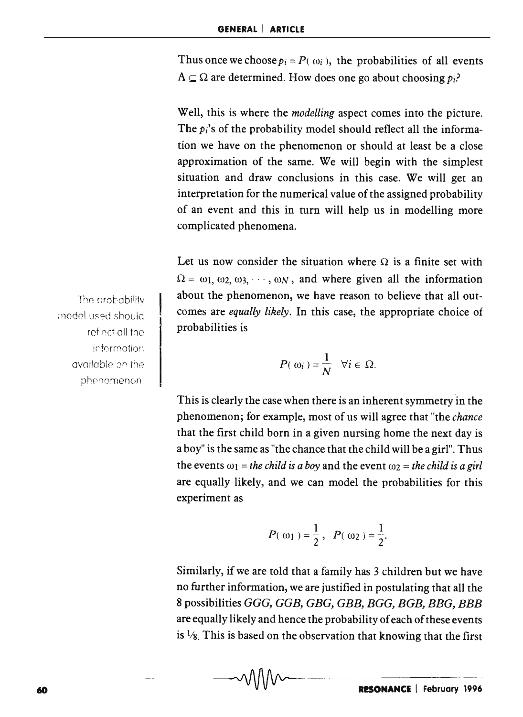Thus once we choose  $p_i = P(\omega_i)$ , the probabilities of all events  $A \subseteq \Omega$  are determined. How does one go about choosing  $p_i$ ?

Well, this is where the *modelling* aspect comes into the picture. The *Pi's* of the probability model should reflect all the information we have on the phenomenon or should at least be a close approximation of the same. We will begin with the simplest situation and draw conclusions in this case. We will get an interpretation for the numerical value of the assigned probability of an event and this in turn will help us in modelling more complicated phenomena.

Let us now consider the situation where  $\Omega$  is a finite set with  $\Omega = \omega_1, \omega_2, \omega_3, \cdots, \omega_N$ , and where given all the information about the phenomenon, we have reason to believe that all outcomes are *equally likely.* In this case, the appropriate choice of probabilities is

$$
P(\omega_i)=\frac{1}{N} \quad \forall i \in \Omega.
$$

This is clearly the case when there is an inherent symmetry in the phenomenon; for example, most of us will agree that "the *chance*  that the first child born in a given nursing home the next day is a boy" is the same as "the chance that the child will be a girl". Thus the events  $\omega_1$  = *the child is a boy* and the event  $\omega_2$  = *the child is a girl* are equally likely, and we can model the probabilities for this experiment as

$$
P(\omega_1) = \frac{1}{2}, \quad P(\omega_2) = \frac{1}{2}
$$

Similarly, if we are told that a family has 3 children but we have no further information, we are justified in postulating that all the 8 possibilities GGG, GGB, GBG, GBB, BGG, BGB, BBG, BBB are equally likely and hence the probability of each of these events is  $\frac{1}{8}$ . This is based on the observation that knowing that the first

The probability model used should refiect all the information. available on the phenomenon.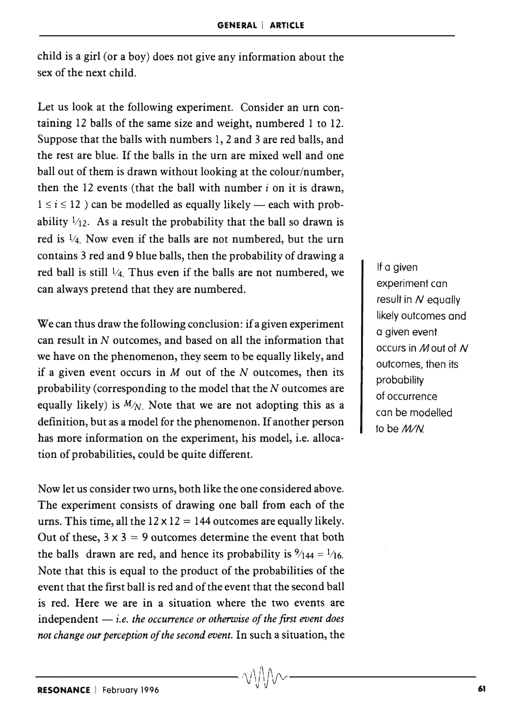child is a girl (or a boy) does not give any information about the sex of the next child.

Let us look at the following experiment. Consider an urn containing 12 balls of the same size and weight, numbered 1 to 12. Suppose that the balls with numbers 1, 2 and 3 are red balls, and the rest are blue. If the balls in the urn are mixed well and one ball out of them is drawn without looking at the colour/number, then the 12 events (that the ball with number *i* on it is drawn,  $1 \le i \le 12$ ) can be modelled as equally likely — each with probability  $\frac{1}{12}$ . As a result the probability that the ball so drawn is red is  $\frac{1}{4}$ . Now even if the balls are not numbered, but the urn contains 3 red and 9 blue balls, then the probability of drawing a red ball is still  $\frac{1}{4}$ . Thus even if the balls are not numbered, we can always pretend that they are numbered.

We can thus draw the following conclusion: if a given experiment can result in  $N$  outcomes, and based on all the information that we have on the phenomenon, they seem to be equally likely, and if a given event occurs in  $M$  out of the  $N$  outcomes, then its probability (corresponding to the model that the *N* outcomes are equally likely) is  $M/N$ . Note that we are not adopting this as a definition, but as a model for the phenomenon. If another person has more information on the experiment, his model, i.e. allocation of probabilities, could be quite different.

Now let us consider two urns, both like the one considered above. The experiment consists of drawing one ball from each of the urns. This time, all the  $12 \times 12 = 144$  outcomes are equally likely. Out of these,  $3 \times 3 = 9$  outcomes determine the event that both the balls drawn are red, and hence its probability is  $\frac{9}{144} = \frac{1}{16}$ . Note that this is equal to the product of the probabilities of the event that the first ball is red and of the event that the second ball is red. Here we are in a situation where the two events are independent  $-$  *i.e. the occurrence or otherwise of the first event does not change our perception of the second event.* In such a situation, the

If a given experiment can result in *N* equally likely outcomes and a given event occurs in M out of N outcomes, then its probability of occurrence can be modelled to be *M/N*.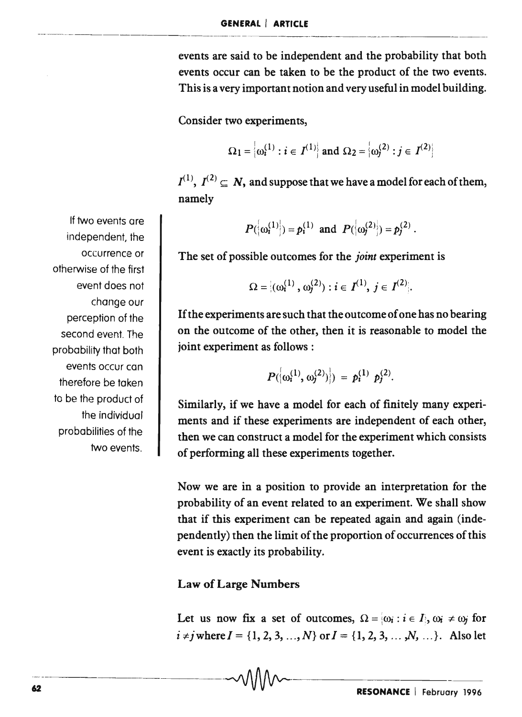events are said to be independent and the probability that both events occur can be taken to be the product of the two events. This is a very important notion and very useful in model building.

Consider two experiments,

$$
\Omega_1 = \left\{ \omega_i^{(1)} : i \in I^{(1)} \right\} \text{ and } \Omega_2 = \left\{ \omega_j^{(2)} : j \in I^{(2)} \right\}
$$

 $I^{(1)}$ ,  $I^{(2)} \subseteq N$ , and suppose that we have a model for each of them, namely

$$
P(\left\{\omega_i^{(1)}\right\}) = p_i^{(1)}
$$
 and  $P(\left\{\omega_j^{(2)}\right\}) = p_j^{(2)}$ .

The set of possible outcomes for the *joint* experiment is

$$
\Omega = \{(\omega_i^{(1)}, \omega_j^{(2)}): i \in I^{(1)}, j \in I^{(2)}\}.
$$

If the experiments are such that the outcome of one has no bearing on the outcome of the other, then it is reasonable to model the joint experiment as follows:

$$
P(\left|\omega_i^{(1)}, \omega_j^{(2)}\right|) = p_i^{(1)} p_j^{(2)}.
$$

Similarly, if we have a model for each of finitely many experiments and if these experiments are independent of each other, then we can construct a model for the experiment which consists of performing all these experiments together.

Now we are in a position to provide an interpretation for the probability of an event related to an experiment. We shall show that if this experiment can be repeated again and again (independently) then the limit of the proportion of occurrences of this event is exactly its probability.

#### Law of Large Numbers

Let us now fix a set of outcomes,  $\Omega = \{\omega_i : i \in I\}$ ,  $\omega_i \neq \omega_j$  for  $i \neq j$  where  $I = \{1, 2, 3, ..., N\}$  or  $I = \{1, 2, 3, ..., N, ...\}$ . Also let

If two events are independent, the occurrence or otherwise of the first event does not change our perception of the second event. The probability that both events occur can therefore be taken to be the product of the individual probabilities of the two events.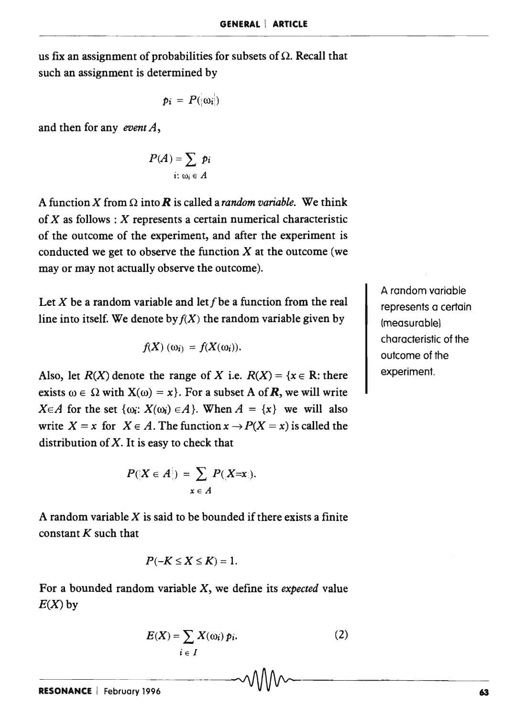us fix an assignment of probabilities for subsets of  $\Omega$ . Recall that such an assignment is determined by

$$
p_i = P(\langle \omega_i \rangle)
$$

and then for any *event A,* 

$$
P(A) = \sum_{i: \omega_i \in A} p_i
$$

A function X from  $\Omega$  into **R** is called a *random variable*. We think of  $X$  as follows:  $X$  represents a certain numerical characteristic of the outcome of the experiment, and after the experiment is conducted we get to observe the function  $X$  at the outcome (we may or may not actually observe the outcome).

Let X be a random variable and let f be a function from the real line into itself. We denote by  $f(X)$  the random variable given by

$$
f(X) (\omega_i) = f(X(\omega_i)).
$$

Also, let  $R(X)$  denote the range of X i.e.  $R(X) = \{x \in R: \text{there}$ exists  $\omega \in \Omega$  with  $X(\omega) = x$ . For a subset A of **R**, we will write  $X \in A$  for the set  $\{\omega_i: X(\omega_i) \in A\}$ . When  $A = \{x\}$  we will also write  $X = x$  for  $X \in A$ . The function  $x \to P(X = x)$  is called the distribution of  $X$ . It is easy to check that

$$
P(\lbrace X \in A \rbrace) = \sum_{x \in A} P(X=x).
$$

A random variable  $X$  is said to be bounded if there exists a finite constant  $K$  such that

$$
P(-K \leq X \leq K) = 1.
$$

For a bounded random variable X, we define its *expected* value  $E(X)$  by

$$
E(X) = \sum_{i \in I} X(\omega_i) p_i.
$$
 (2)

A random variable represents a certain (measurablel characteristic of the outcome of the experiment.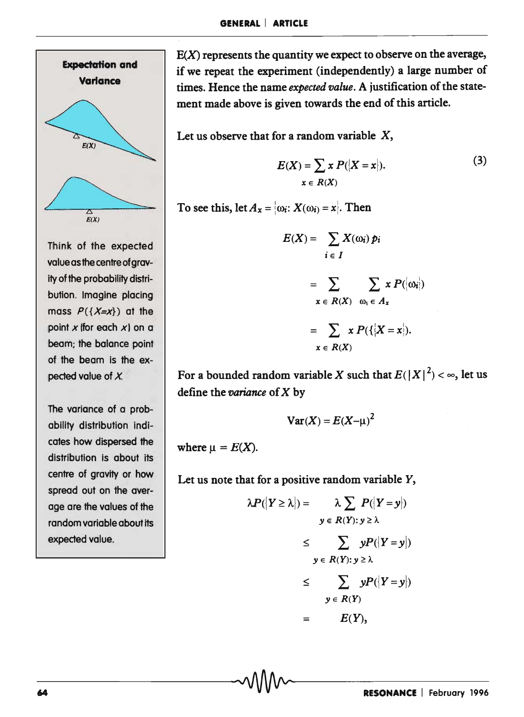

Think of the expected value as the centre ofgravity of the probability distribution. Imagine placing mass  $P({X=x})$  at the point  $x$  (for each  $x$ ) on a beam; the balance point of the beam is the expected value of  $X$ .

The variance of a probability distribution indicates how dispersed the distribution is about its centre of gravity or how spread out on the average are the values of the random variable about its expected value.

 $E(X)$  represents the quantity we expect to observe on the average, if we repeat the experiment (independently) a large number of times. Hence the name *expected value*. A justification of the statement made above is given towards the end of this article.

Let us observe that for a random variable  $X$ ,

$$
E(X) = \sum_{x \in R(X)} x P(|X = x|).
$$
 (3)

To see this,  $\text{let } A_x = \{ \omega_i : X(\omega_i) = x \}.$  Then

$$
E(X) = \sum_{i \in I} X(\omega_i) p_i
$$
  
= 
$$
\sum_{x \in R(X)} \sum_{\omega_i \in A_x} x P(\{\omega_i\})
$$
  
= 
$$
\sum_{x \in R(X)} x P(\{X = x\}).
$$

For a bounded random variable X such that  $E(|X|^2) < \infty$ , let us define the *ooriance* of X by

$$
\text{Var}(X) = E(X - \mu)^2
$$

where  $\mu = E(X)$ .

Let us note that for a positive random variable *Y,* 

-64-----------------------------~------------------------------

$$
\lambda P(|Y \ge \lambda|) = \lambda \sum_{y \in R(Y): y \ge \lambda} P(|Y = y|)
$$
  

$$
\le \sum_{y \in R(Y): y \ge \lambda} yP(|Y = y|)
$$
  

$$
\le \sum_{y \in R(Y)} yP(|Y = y|)
$$
  

$$
\le E(Y)
$$
  

$$
= E(Y),
$$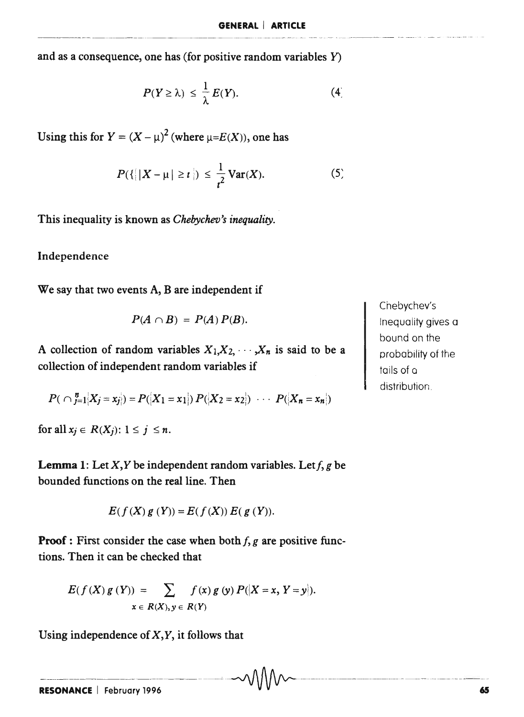and as a consequence, one has (for positive random variables Y)

$$
P(Y \ge \lambda) \le \frac{1}{\lambda} E(Y). \tag{4}
$$

Using this for  $Y = (X - \mu)^2$  (where  $\mu = E(X)$ ), one has

$$
P(\{||X - \mu| \ge t\}) \le \frac{1}{t^2} \text{Var}(X). \tag{5}
$$

This inequality is known as *Chebychev's inequality.* 

Independence

We say that two events A, B are independent if

$$
P(A \cap B) = P(A) P(B).
$$

A collection of random variables  $X_1, X_2, \cdots, X_n$  is said to be a collection of independent random variables if

$$
P(\bigcap_{j=1}^{n} |X_j = x_j|) = P([X_1 = x_1]) P([X_2 = x_2]) \cdots P([X_n = x_n])
$$

for all  $x_j \in R(X_j)$ :  $1 \leq j \leq n$ .

**Lemma** 1: Let  $X, Y$  be independent random variables. Let  $f, g$  be bounded functions on the real line. Then

$$
E(f(X) g(Y)) = E(f(X)) E(g(Y)).
$$

**Proof:** First consider the case when both *I,* g are positive functions. Then it can be checked that

$$
E(f(X) g(Y)) = \sum_{x \in R(X), y \in R(Y)} f(x) g(y) P(|X = x, Y = y|).
$$

Using independence of  $X, Y$ , it follows that

Chebychev's Inequality gives a bound on the probability of the tails of <sup>Q</sup> distribution.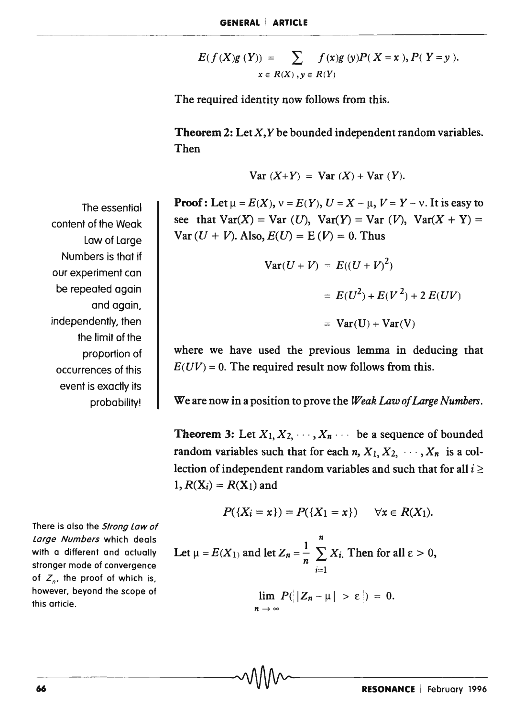$$
E(f(X)g(Y)) = \sum_{x \in R(X), y \in R(Y)} f(x)g(y)P(X=x), P(Y=y).
$$

The required identity now follows from this.

**Theorem 2:** Let  $X, Y$  be bounded independent random variables. Then

$$
Var (X+Y) = Var (X) + Var (Y).
$$

**Proof:** Let  $\mu = E(X)$ ,  $\nu = E(Y)$ ,  $U = X - \mu$ ,  $V = Y - \nu$ . It is easy to see that  $Var(X) = Var(U)$ ,  $Var(Y) = Var(V)$ ,  $Var(X + Y) =$  $Var (U + V)$ . Also,  $E(U) = E (V) = 0$ . Thus

$$
\begin{aligned} \mathbf{Var}(U+V) &= E((U+V)^2) \\ &= E(U^2) + E(V^2) + 2 \, E(UV) \\ &= \mathbf{Var}(U) + \mathbf{Var}(V) \end{aligned}
$$

where we have used the previous lemma in deducing that  $E(UV) = 0$ . The required result now follows from this.

We are now in a position to prove the *Weak Law of Large Numbers.* 

**Theorem 3:** Let  $X_1, X_2, \cdots, X_n$  be a sequence of bounded random variables such that for each  $n, X_1, X_2, \dots, X_n$  is a collection of independent random variables and such that for all  $i \geq$  $1, R(X_i) = R(X_1)$  and

There is also the Strong Law of Large Numbers which deals with a different and actually stronger mode of convergence of  $Z_n$ , the proof of which is, however, beyond the scope of this article.

$$
P({Xi = x}) = P({X1 = x}) \quad \forall x \in R(X1).
$$

*n*  Let  $\mu = E(X_1)$  and let  $Z_n = \frac{1}{n} \sum X_i$ . Then for all  $\varepsilon > 0$ ,  $i=1$  $\lim P(|Z_n - \mu| > \varepsilon|) = 0.$  $n\rightarrow\infty$ 

The essential content of the Weak law of large Numbers is that if our experiment can be repeated again and again, independently, then the limit of the proportion of occurrences of this event is exactly its probability!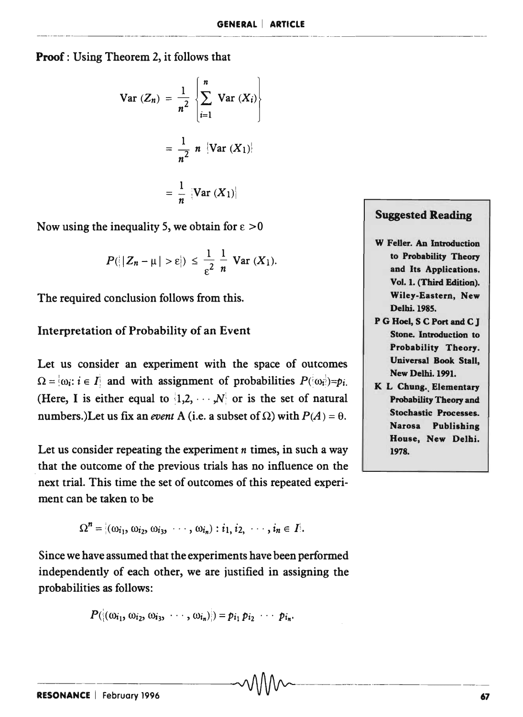Proof: Using Theorem 2, it follows that  
\n
$$
Var (Z_n) = \frac{1}{n^2} \left\{ \sum_{i=1}^n Var (X_i) \right\}
$$
\n
$$
= \frac{1}{n^2} n \left\{ Var (X_1) \right\}
$$
\n
$$
= \frac{1}{n} \left[ Var (X_1) \right]
$$

Now using the inequality 5, we obtain for  $\epsilon > 0$ 

$$
P(|Z_n-\mu|>\epsilon|) \leq \frac{1}{\epsilon^2} \frac{1}{n} \text{ Var}(X_1).
$$

The required conclusion follows from this.

#### Interpretation of Probability of an Event

Let us consider an experiment with the space of outcomes  $\Omega = \{ \omega_i : i \in I \}$  and with assignment of probabilities  $P(\{\omega_i\}) = p_i$ . (Here, I is either equal to  $|1,2,\cdots,N|$  or is the set of natural numbers.)Let us fix an *event* A (i.e. a subset of  $\Omega$ ) with  $P(A) = \theta$ .

Let us consider repeating the experiment *n* times, in such a way  $\vert$  1978. that the outcome of the previous trials has no influence on the next trial. This time the set of outcomes of this repeated experiment can be taken to be

$$
\Omega^n = \langle \omega_{i_1}, \omega_{i_2}, \omega_{i_3}, \cdots, \omega_{i_n} \rangle : i_1, i_2, \cdots, i_n \in I \rangle.
$$

Since we have assumed that the experiments have been performed independently of each other, we are justified in assigning the probabilities as follows:

$$
P([(\omega_{i_1},\,\omega_{i_2},\,\omega_{i_3},\,\cdots,\,\omega_{i_n})])=p_{i_1}\,p_{i_2}\,\cdots\,\,p_{i_n}.
$$

### Suggested Reading

- W Feller. An Introduction to Probability Theory and Its Applications. Vol. 1. (Third Edition). Wiley-Eastern, New Delhi. 1985.
- P G Hoel, S C Port and C J Stone. Introduction to Probability Theory. Universal Book Stall, New Delhi. 1991.
- K L Chung. Elementary Probability Theory and Stochastic Processes. Narosa Publishing House, New Delhi.